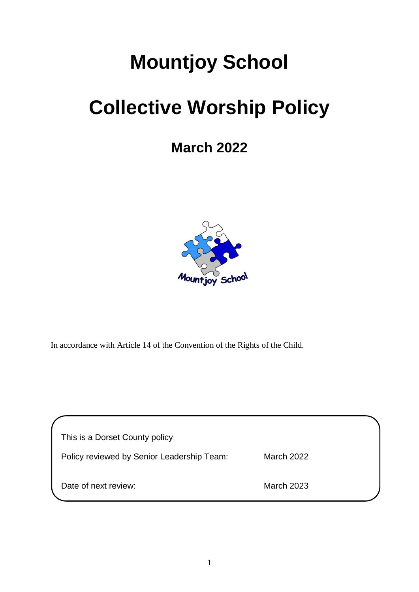# **Mountjoy School**

## **Collective Worship Policy**

### **March 2022**



In accordance with Article 14 of the Convention of the Rights of the Child.

| This is a Dorset County policy             |                   |  |
|--------------------------------------------|-------------------|--|
| Policy reviewed by Senior Leadership Team: | <b>March 2022</b> |  |
| Date of next review:                       | <b>March 2023</b> |  |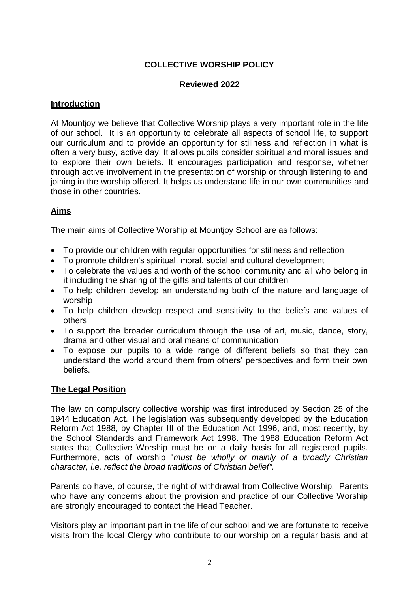#### **COLLECTIVE WORSHIP POLICY**

#### **Reviewed 2022**

#### **Introduction**

At Mountjoy we believe that Collective Worship plays a very important role in the life of our school. It is an opportunity to celebrate all aspects of school life, to support our curriculum and to provide an opportunity for stillness and reflection in what is often a very busy, active day. It allows pupils consider spiritual and moral issues and to explore their own beliefs. It encourages participation and response, whether through active involvement in the presentation of worship or through listening to and joining in the worship offered. It helps us understand life in our own communities and those in other countries.

#### **Aims**

The main aims of Collective Worship at Mountjoy School are as follows:

- To provide our children with regular opportunities for stillness and reflection
- To promote children's spiritual, moral, social and cultural development
- To celebrate the values and worth of the school community and all who belong in it including the sharing of the gifts and talents of our children
- To help children develop an understanding both of the nature and language of worship
- To help children develop respect and sensitivity to the beliefs and values of others
- To support the broader curriculum through the use of art, music, dance, story, drama and other visual and oral means of communication
- To expose our pupils to a wide range of different beliefs so that they can understand the world around them from others' perspectives and form their own beliefs.

#### **The Legal Position**

The law on compulsory collective worship was first introduced by Section 25 of the 1944 Education Act. The legislation was subsequently developed by the Education Reform Act 1988, by Chapter III of the Education Act 1996, and, most recently, by the School Standards and Framework Act 1998. The 1988 Education Reform Act states that Collective Worship must be on a daily basis for all registered pupils. Furthermore, acts of worship "*must be wholly or mainly of a broadly Christian character, i.e. reflect the broad traditions of Christian belief".*

Parents do have, of course, the right of withdrawal from Collective Worship. Parents who have any concerns about the provision and practice of our Collective Worship are strongly encouraged to contact the Head Teacher.

Visitors play an important part in the life of our school and we are fortunate to receive visits from the local Clergy who contribute to our worship on a regular basis and at